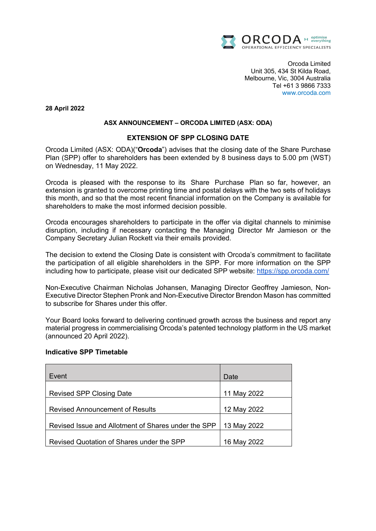

Orcoda Limited Unit 305, 434 St Kilda Road, Melbourne, Vic, 3004 Australia Tel +61 3 9866 7333 www.orcoda.com

**28 April 2022**

# **ASX ANNOUNCEMENT – ORCODA LIMITED (ASX: ODA)**

# **EXTENSION OF SPP CLOSING DATE**

Orcoda Limited (ASX: ODA)("**Orcoda**") advises that the closing date of the Share Purchase Plan (SPP) offer to shareholders has been extended by 8 business days to 5.00 pm (WST) on Wednesday, 11 May 2022.

Orcoda is pleased with the response to its Share Purchase Plan so far, however, an extension is granted to overcome printing time and postal delays with the two sets of holidays this month, and so that the most recent financial information on the Company is available for shareholders to make the most informed decision possible.

Orcoda encourages shareholders to participate in the offer via digital channels to minimise disruption, including if necessary contacting the Managing Director Mr Jamieson or the Company Secretary Julian Rockett via their emails provided.

The decision to extend the Closing Date is consistent with Orcoda's commitment to facilitate the participation of all eligible shareholders in the SPP. For more information on the SPP including how to participate, please visit our dedicated SPP website: https://spp.orcoda.com/

Non-Executive Chairman Nicholas Johansen, Managing Director Geoffrey Jamieson, Non-Executive Director Stephen Pronk and Non-Executive Director Brendon Mason has committed to subscribe for Shares under this offer.

Your Board looks forward to delivering continued growth across the business and report any material progress in commercialising Orcoda's patented technology platform in the US market (announced 20 April 2022).

# **Indicative SPP Timetable**

| Event                                               | Date        |
|-----------------------------------------------------|-------------|
| <b>Revised SPP Closing Date</b>                     | 11 May 2022 |
| <b>Revised Announcement of Results</b>              | 12 May 2022 |
| Revised Issue and Allotment of Shares under the SPP | 13 May 2022 |
| Revised Quotation of Shares under the SPP           | 16 May 2022 |